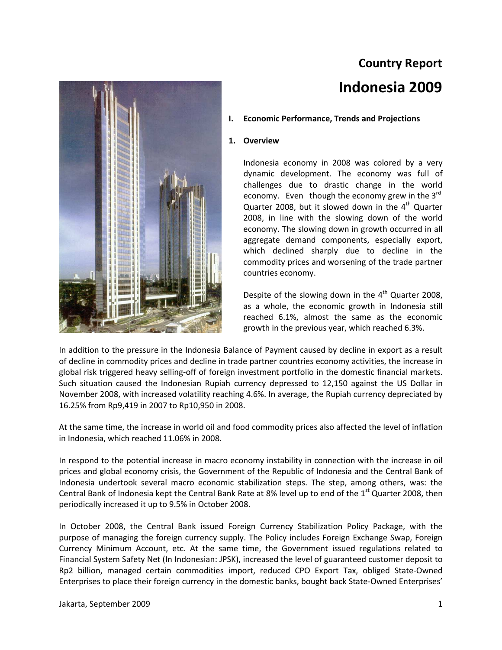# **Country Report Indonesia 2009**



#### **I. Economic Performance, Trends and Projections**

#### **1. Overview**

Indonesia economy in 2008 was colored by a very dynamic development. The economy was full of challenges due to drastic change in the world economy. Even though the economy grew in the  $3<sup>rd</sup>$ Quarter 2008, but it slowed down in the  $4<sup>th</sup>$  Quarter 2008, in line with the slowing down of the world economy. The slowing down in growth occurred in all aggregate demand components, especially export, which declined sharply due to decline in the commodity prices and worsening of the trade partner countries economy.

Despite of the slowing down in the  $4<sup>th</sup>$  Quarter 2008, as a whole, the economic growth in Indonesia still reached 6.1%, almost the same as the economic growth in the previous year, which reached 6.3%.

In addition to the pressure in the Indonesia Balance of Payment caused by decline in export as a result of decline in commodity prices and decline in trade partner countries economy activities, the increase in global risk triggered heavy selling-off of foreign investment portfolio in the domestic financial markets. Such situation caused the Indonesian Rupiah currency depressed to 12,150 against the US Dollar in November 2008, with increased volatility reaching 4.6%. In average, the Rupiah currency depreciated by 16.25% from Rp9,419 in 2007 to Rp10,950 in 2008.

At the same time, the increase in world oil and food commodity prices also affected the level of inflation in Indonesia, which reached 11.06% in 2008.

In respond to the potential increase in macro economy instability in connection with the increase in oil prices and global economy crisis, the Government of the Republic of Indonesia and the Central Bank of Indonesia undertook several macro economic stabilization steps. The step, among others, was: the Central Bank of Indonesia kept the Central Bank Rate at 8% level up to end of the  $1<sup>st</sup>$  Quarter 2008, then periodically increased it up to 9.5% in October 2008.

In October 2008, the Central Bank issued Foreign Currency Stabilization Policy Package, with the purpose of managing the foreign currency supply. The Policy includes Foreign Exchange Swap, Foreign Currency Minimum Account, etc. At the same time, the Government issued regulations related to Financial System Safety Net (In Indonesian: JPSK), increased the level of guaranteed customer deposit to Rp2 billion, managed certain commodities import, reduced CPO Export Tax, obliged State-Owned Enterprises to place their foreign currency in the domestic banks, bought back State-Owned Enterprises'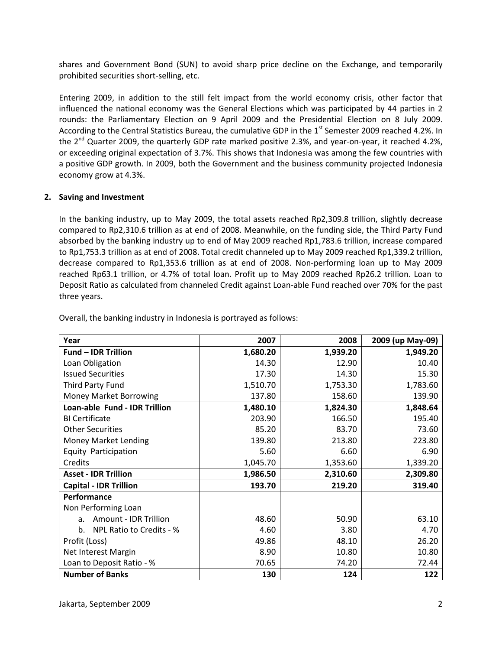shares and Government Bond (SUN) to avoid sharp price decline on the Exchange, and temporarily prohibited securities short-selling, etc.

Entering 2009, in addition to the still felt impact from the world economy crisis, other factor that influenced the national economy was the General Elections which was participated by 44 parties in 2 rounds: the Parliamentary Election on 9 April 2009 and the Presidential Election on 8 July 2009. According to the Central Statistics Bureau, the cumulative GDP in the 1<sup>st</sup> Semester 2009 reached 4.2%. In the  $2^{nd}$  Quarter 2009, the quarterly GDP rate marked positive 2.3%, and year-on-year, it reached 4.2%, or exceeding original expectation of 3.7%. This shows that Indonesia was among the few countries with a positive GDP growth. In 2009, both the Government and the business community projected Indonesia economy grow at 4.3%.

#### **2. Saving and Investment**

In the banking industry, up to May 2009, the total assets reached Rp2,309.8 trillion, slightly decrease compared to Rp2,310.6 trillion as at end of 2008. Meanwhile, on the funding side, the Third Party Fund absorbed by the banking industry up to end of May 2009 reached Rp1,783.6 trillion, increase compared to Rp1,753.3 trillion as at end of 2008. Total credit channeled up to May 2009 reached Rp1,339.2 trillion, decrease compared to Rp1,353.6 trillion as at end of 2008. Non-performing loan up to May 2009 reached Rp63.1 trillion, or 4.7% of total loan. Profit up to May 2009 reached Rp26.2 trillion. Loan to Deposit Ratio as calculated from channeled Credit against Loan-able Fund reached over 70% for the past three years.

| Year                               | 2007     | 2008     | 2009 (up May-09) |
|------------------------------------|----------|----------|------------------|
| <b>Fund - IDR Trillion</b>         | 1,680.20 | 1,939.20 | 1,949.20         |
| Loan Obligation                    | 14.30    | 12.90    | 10.40            |
| <b>Issued Securities</b>           | 17.30    | 14.30    | 15.30            |
| Third Party Fund                   | 1,510.70 | 1,753.30 | 1,783.60         |
| Money Market Borrowing             | 137.80   | 158.60   | 139.90           |
| Loan-able Fund - IDR Trillion      | 1,480.10 | 1,824.30 | 1,848.64         |
| <b>BI Certificate</b>              | 203.90   | 166.50   | 195.40           |
| <b>Other Securities</b>            | 85.20    | 83.70    | 73.60            |
| Money Market Lending               | 139.80   | 213.80   | 223.80           |
| Equity Participation               | 5.60     | 6.60     | 6.90             |
| Credits                            | 1,045.70 | 1,353.60 | 1,339.20         |
| <b>Asset - IDR Trillion</b>        | 1,986.50 | 2,310.60 | 2,309.80         |
| <b>Capital - IDR Trillion</b>      | 193.70   | 219.20   | 319.40           |
| Performance                        |          |          |                  |
| Non Performing Loan                |          |          |                  |
| <b>Amount - IDR Trillion</b><br>a. | 48.60    | 50.90    | 63.10            |
| NPL Ratio to Credits - %<br>b.     | 4.60     | 3.80     | 4.70             |
| Profit (Loss)                      | 49.86    | 48.10    | 26.20            |
| Net Interest Margin                | 8.90     | 10.80    | 10.80            |
| Loan to Deposit Ratio - %          | 70.65    | 74.20    | 72.44            |
| <b>Number of Banks</b>             | 130      | 124      | 122              |

Overall, the banking industry in Indonesia is portrayed as follows: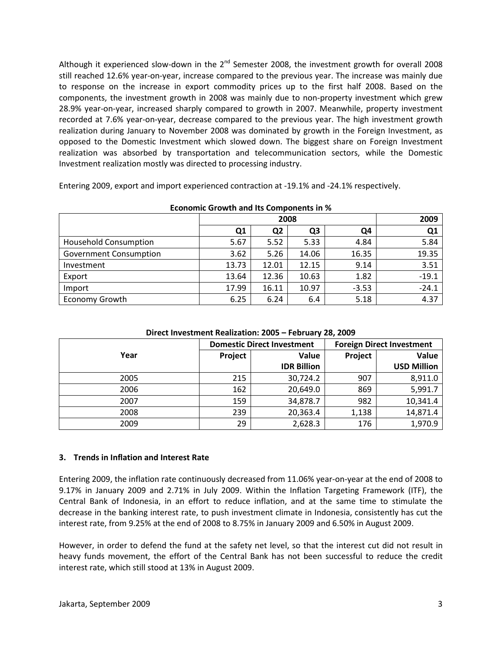Although it experienced slow-down in the  $2^{nd}$  Semester 2008, the investment growth for overall 2008 still reached 12.6% year-on-year, increase compared to the previous year. The increase was mainly due to response on the increase in export commodity prices up to the first half 2008. Based on the components, the investment growth in 2008 was mainly due to non-property investment which grew 28.9% year-on-year, increased sharply compared to growth in 2007. Meanwhile, property investment recorded at 7.6% year-on-year, decrease compared to the previous year. The high investment growth realization during January to November 2008 was dominated by growth in the Foreign Investment, as opposed to the Domestic Investment which slowed down. The biggest share on Foreign Investment realization was absorbed by transportation and telecommunication sectors, while the Domestic Investment realization mostly was directed to processing industry.

Entering 2009, export and import experienced contraction at -19.1% and -24.1% respectively.

|                               | 2008  |                |       |         | 2009           |  |
|-------------------------------|-------|----------------|-------|---------|----------------|--|
|                               | Q1    | Q <sub>2</sub> | Q3    | Q4      | Q <sub>1</sub> |  |
| <b>Household Consumption</b>  | 5.67  | 5.52           | 5.33  | 4.84    | 5.84           |  |
| <b>Government Consumption</b> | 3.62  | 5.26           | 14.06 | 16.35   | 19.35          |  |
| Investment                    | 13.73 | 12.01          | 12.15 | 9.14    | 3.51           |  |
| Export                        | 13.64 | 12.36          | 10.63 | 1.82    | $-19.1$        |  |
| Import                        | 17.99 | 16.11          | 10.97 | $-3.53$ | $-24.1$        |  |
| <b>Economy Growth</b>         | 6.25  | 6.24           | 6.4   | 5.18    | 4.37           |  |

**Economic Growth and Its Components in %** 

|      | <b>Domestic Direct Investment</b> |                    |         | <b>Foreign Direct Investment</b> |
|------|-----------------------------------|--------------------|---------|----------------------------------|
| Year | Project                           | Value              | Project | Value                            |
|      |                                   | <b>IDR Billion</b> |         | <b>USD Million</b>               |
| 2005 | 215                               | 30,724.2           | 907     | 8,911.0                          |
| 2006 | 162                               | 20,649.0           | 869     | 5,991.7                          |
| 2007 | 159                               | 34,878.7           | 982     | 10,341.4                         |
| 2008 | 239                               | 20,363.4           | 1,138   | 14,871.4                         |
| 2009 | 29                                | 2,628.3            | 176     | 1,970.9                          |

#### **3. Trends in Inflation and Interest Rate**

Entering 2009, the inflation rate continuously decreased from 11.06% year-on-year at the end of 2008 to 9.17% in January 2009 and 2.71% in July 2009. Within the Inflation Targeting Framework (ITF), the Central Bank of Indonesia, in an effort to reduce inflation, and at the same time to stimulate the decrease in the banking interest rate, to push investment climate in Indonesia, consistently has cut the interest rate, from 9.25% at the end of 2008 to 8.75% in January 2009 and 6.50% in August 2009.

However, in order to defend the fund at the safety net level, so that the interest cut did not result in heavy funds movement, the effort of the Central Bank has not been successful to reduce the credit interest rate, which still stood at 13% in August 2009.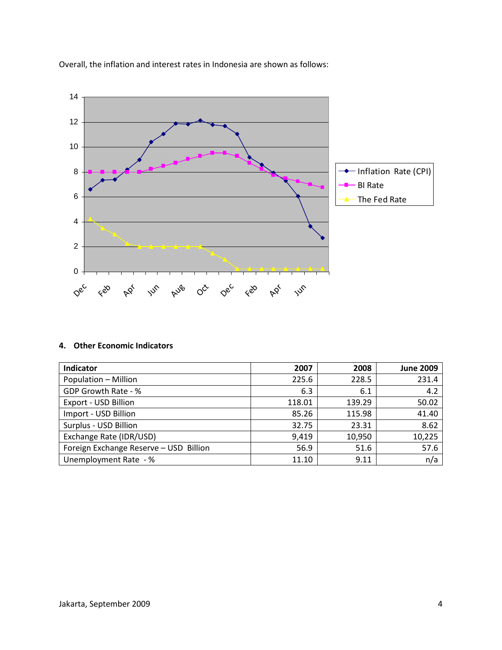

Overall, the inflation and interest rates in Indonesia are shown as follows:

### **4. Other Economic Indicators**

| Indicator                              | 2007   | 2008   | <b>June 2009</b> |
|----------------------------------------|--------|--------|------------------|
| Population - Million                   | 225.6  | 228.5  | 231.4            |
| GDP Growth Rate - %                    | 6.3    | 6.1    | 4.2              |
| Export - USD Billion                   | 118.01 | 139.29 | 50.02            |
| Import - USD Billion                   | 85.26  | 115.98 | 41.40            |
| Surplus - USD Billion                  | 32.75  | 23.31  | 8.62             |
| Exchange Rate (IDR/USD)                | 9,419  | 10,950 | 10,225           |
| Foreign Exchange Reserve - USD Billion | 56.9   | 51.6   | 57.6             |
| Unemployment Rate - %                  | 11.10  | 9.11   | n/a              |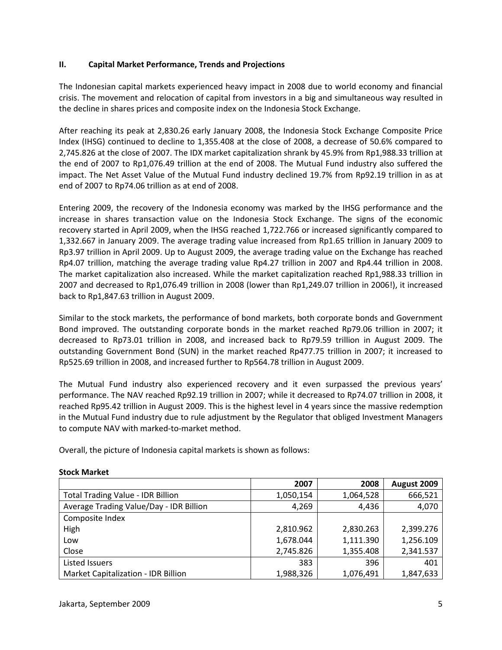### **II. Capital Market Performance, Trends and Projections**

The Indonesian capital markets experienced heavy impact in 2008 due to world economy and financial crisis. The movement and relocation of capital from investors in a big and simultaneous way resulted in the decline in shares prices and composite index on the Indonesia Stock Exchange.

After reaching its peak at 2,830.26 early January 2008, the Indonesia Stock Exchange Composite Price Index (IHSG) continued to decline to 1,355.408 at the close of 2008, a decrease of 50.6% compared to 2,745.826 at the close of 2007. The IDX market capitalization shrank by 45.9% from Rp1,988.33 trillion at the end of 2007 to Rp1,076.49 trillion at the end of 2008. The Mutual Fund industry also suffered the impact. The Net Asset Value of the Mutual Fund industry declined 19.7% from Rp92.19 trillion in as at end of 2007 to Rp74.06 trillion as at end of 2008.

Entering 2009, the recovery of the Indonesia economy was marked by the IHSG performance and the increase in shares transaction value on the Indonesia Stock Exchange. The signs of the economic recovery started in April 2009, when the IHSG reached 1,722.766 or increased significantly compared to 1,332.667 in January 2009. The average trading value increased from Rp1.65 trillion in January 2009 to Rp3.97 trillion in April 2009. Up to August 2009, the average trading value on the Exchange has reached Rp4.07 trillion, matching the average trading value Rp4.27 trillion in 2007 and Rp4.44 trillion in 2008. The market capitalization also increased. While the market capitalization reached Rp1,988.33 trillion in 2007 and decreased to Rp1,076.49 trillion in 2008 (lower than Rp1,249.07 trillion in 2006!), it increased back to Rp1,847.63 trillion in August 2009.

Similar to the stock markets, the performance of bond markets, both corporate bonds and Government Bond improved. The outstanding corporate bonds in the market reached Rp79.06 trillion in 2007; it decreased to Rp73.01 trillion in 2008, and increased back to Rp79.59 trillion in August 2009. The outstanding Government Bond (SUN) in the market reached Rp477.75 trillion in 2007; it increased to Rp525.69 trillion in 2008, and increased further to Rp564.78 trillion in August 2009.

The Mutual Fund industry also experienced recovery and it even surpassed the previous years' performance. The NAV reached Rp92.19 trillion in 2007; while it decreased to Rp74.07 trillion in 2008, it reached Rp95.42 trillion in August 2009. This is the highest level in 4 years since the massive redemption in the Mutual Fund industry due to rule adjustment by the Regulator that obliged Investment Managers to compute NAV with marked-to-market method.

Overall, the picture of Indonesia capital markets is shown as follows:

|                                            | 2007      | 2008      | August 2009 |
|--------------------------------------------|-----------|-----------|-------------|
| <b>Total Trading Value - IDR Billion</b>   | 1,050,154 | 1,064,528 | 666,521     |
| Average Trading Value/Day - IDR Billion    | 4,269     | 4,436     | 4,070       |
| Composite Index                            |           |           |             |
| High                                       | 2,810.962 | 2,830.263 | 2,399.276   |
| Low                                        | 1,678.044 | 1,111.390 | 1,256.109   |
| Close                                      | 2,745.826 | 1,355.408 | 2,341.537   |
| Listed Issuers                             | 383       | 396       | 401         |
| <b>Market Capitalization - IDR Billion</b> | 1,988,326 | 1,076,491 | 1,847,633   |

#### **Stock Market**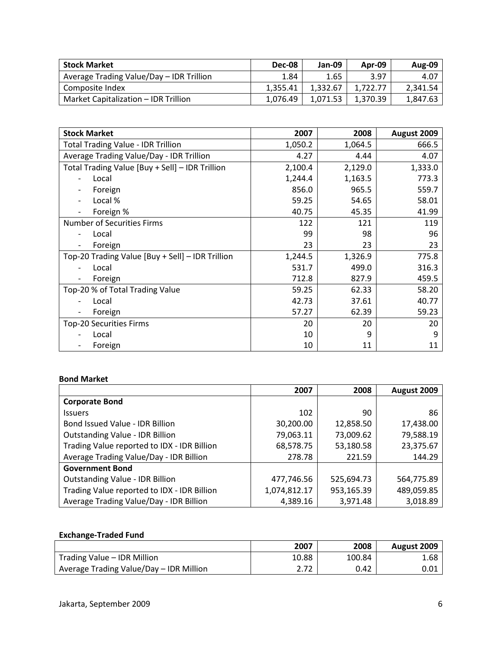| <b>Stock Market</b>                      | <b>Dec-08</b> | Jan-09   | Apr-09   | <b>Aug-09</b> |
|------------------------------------------|---------------|----------|----------|---------------|
| Average Trading Value/Day - IDR Trillion | 1.84          | 1.65     | 3.97     | 4.07          |
| Composite Index                          | 1.355.41      | 1.332.67 | 1.722.77 | 2,341.54      |
| Market Capitalization - IDR Trillion     | 1.076.49      | 1.071.53 | 1,370.39 | 1,847.63      |

| <b>Stock Market</b>                              | 2007    | 2008    | August 2009 |
|--------------------------------------------------|---------|---------|-------------|
| <b>Total Trading Value - IDR Trillion</b>        | 1,050.2 | 1,064.5 | 666.5       |
| Average Trading Value/Day - IDR Trillion         | 4.27    | 4.44    | 4.07        |
| Total Trading Value [Buy + Sell] - IDR Trillion  | 2,100.4 | 2,129.0 | 1,333.0     |
| Local                                            | 1,244.4 | 1,163.5 | 773.3       |
| Foreign                                          | 856.0   | 965.5   | 559.7       |
| Local %                                          | 59.25   | 54.65   | 58.01       |
| Foreign %                                        | 40.75   | 45.35   | 41.99       |
| <b>Number of Securities Firms</b>                | 122     | 121     | 119         |
| Local                                            | 99      | 98      | 96          |
| Foreign                                          | 23      | 23      | 23          |
| Top-20 Trading Value [Buy + Sell] - IDR Trillion | 1,244.5 | 1,326.9 | 775.8       |
| Local                                            | 531.7   | 499.0   | 316.3       |
| Foreign                                          | 712.8   | 827.9   | 459.5       |
| Top-20 % of Total Trading Value                  | 59.25   | 62.33   | 58.20       |
| Local                                            | 42.73   | 37.61   | 40.77       |
| Foreign                                          | 57.27   | 62.39   | 59.23       |
| <b>Top-20 Securities Firms</b>                   | 20      | 20      | 20          |
| Local                                            | 10      | 9       | 9           |
| Foreign                                          | 10      | 11      | 11          |

#### **Bond Market**

|                                             | 2007         | 2008       | August 2009 |
|---------------------------------------------|--------------|------------|-------------|
| <b>Corporate Bond</b>                       |              |            |             |
| <b>Issuers</b>                              | 102          | 90         | 86          |
| Bond Issued Value - IDR Billion             | 30,200.00    | 12,858.50  | 17,438.00   |
| <b>Outstanding Value - IDR Billion</b>      | 79,063.11    | 73,009.62  | 79,588.19   |
| Trading Value reported to IDX - IDR Billion | 68,578.75    | 53,180.58  | 23,375.67   |
| Average Trading Value/Day - IDR Billion     | 278.78       | 221.59     | 144.29      |
| <b>Government Bond</b>                      |              |            |             |
| <b>Outstanding Value - IDR Billion</b>      | 477,746.56   | 525,694.73 | 564,775.89  |
| Trading Value reported to IDX - IDR Billion | 1,074,812.17 | 953,165.39 | 489,059.85  |
| Average Trading Value/Day - IDR Billion     | 4,389.16     | 3,971.48   | 3,018.89    |

## **Exchange-Traded Fund**

|                                         | 2007  | 2008   | August 2009 |
|-----------------------------------------|-------|--------|-------------|
| Trading Value - IDR Million             | 10.88 | 100.84 | 1.68        |
| Average Trading Value/Day - IDR Million |       | 0.42   | 0.01        |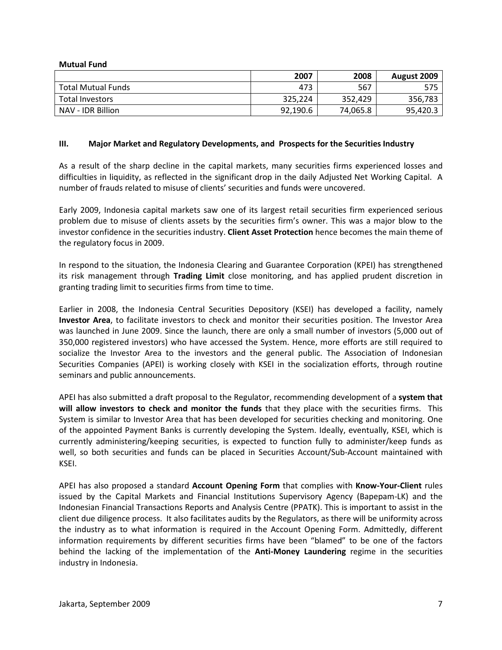| <b>Mutual Fund</b>        |          |          |             |
|---------------------------|----------|----------|-------------|
|                           | 2007     | 2008     | August 2009 |
| <b>Total Mutual Funds</b> | 473      | 567      | 575         |
| Total Investors           | 325,224  | 352.429  | 356,783     |
| NAV - IDR Billion         | 92,190.6 | 74,065.8 | 95,420.3    |

#### **III. Major Market and Regulatory Developments, and Prospects for the Securities Industry**

As a result of the sharp decline in the capital markets, many securities firms experienced losses and difficulties in liquidity, as reflected in the significant drop in the daily Adjusted Net Working Capital. A number of frauds related to misuse of clients' securities and funds were uncovered.

Early 2009, Indonesia capital markets saw one of its largest retail securities firm experienced serious problem due to misuse of clients assets by the securities firm's owner. This was a major blow to the investor confidence in the securities industry. **Client Asset Protection** hence becomes the main theme of the regulatory focus in 2009.

In respond to the situation, the Indonesia Clearing and Guarantee Corporation (KPEI) has strengthened its risk management through **Trading Limit** close monitoring, and has applied prudent discretion in granting trading limit to securities firms from time to time.

Earlier in 2008, the Indonesia Central Securities Depository (KSEI) has developed a facility, namely **Investor Area**, to facilitate investors to check and monitor their securities position. The Investor Area was launched in June 2009. Since the launch, there are only a small number of investors (5,000 out of 350,000 registered investors) who have accessed the System. Hence, more efforts are still required to socialize the Investor Area to the investors and the general public. The Association of Indonesian Securities Companies (APEI) is working closely with KSEI in the socialization efforts, through routine seminars and public announcements.

APEI has also submitted a draft proposal to the Regulator, recommending development of a **system that will allow investors to check and monitor the funds** that they place with the securities firms. This System is similar to Investor Area that has been developed for securities checking and monitoring. One of the appointed Payment Banks is currently developing the System. Ideally, eventually, KSEI, which is currently administering/keeping securities, is expected to function fully to administer/keep funds as well, so both securities and funds can be placed in Securities Account/Sub-Account maintained with KSEI.

APEI has also proposed a standard **Account Opening Form** that complies with **Know-Your-Client** rules issued by the Capital Markets and Financial Institutions Supervisory Agency (Bapepam-LK) and the Indonesian Financial Transactions Reports and Analysis Centre (PPATK). This is important to assist in the client due diligence process. It also facilitates audits by the Regulators, as there will be uniformity across the industry as to what information is required in the Account Opening Form. Admittedly, different information requirements by different securities firms have been "blamed" to be one of the factors behind the lacking of the implementation of the **Anti-Money Laundering** regime in the securities industry in Indonesia.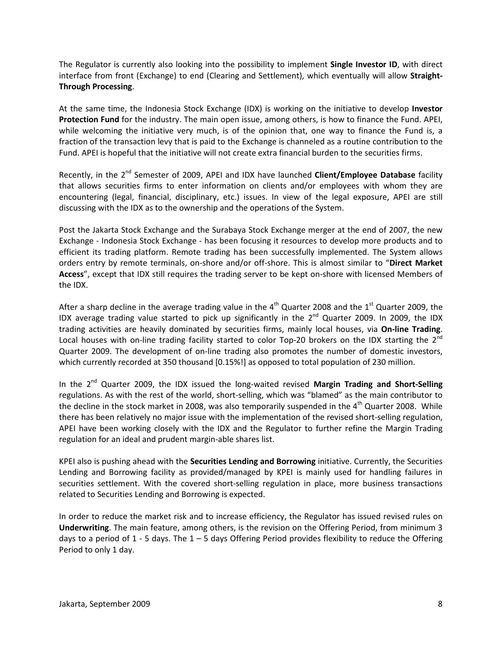The Regulator is currently also looking into the possibility to implement **Single Investor ID**, with direct interface from front (Exchange) to end (Clearing and Settlement), which eventually will allow **Straight-Through Processing**.

At the same time, the Indonesia Stock Exchange (IDX) is working on the initiative to develop **Investor Protection Fund** for the industry. The main open issue, among others, is how to finance the Fund. APEI, while welcoming the initiative very much, is of the opinion that, one way to finance the Fund is, a fraction of the transaction levy that is paid to the Exchange is channeled as a routine contribution to the Fund. APEI is hopeful that the initiative will not create extra financial burden to the securities firms.

Recently, in the 2<sup>nd</sup> Semester of 2009, APEI and IDX have launched **Client/Employee Database** facility that allows securities firms to enter information on clients and/or employees with whom they are encountering (legal, financial, disciplinary, etc.) issues. In view of the legal exposure, APEI are still discussing with the IDX as to the ownership and the operations of the System.

Post the Jakarta Stock Exchange and the Surabaya Stock Exchange merger at the end of 2007, the new Exchange - Indonesia Stock Exchange - has been focusing it resources to develop more products and to efficient its trading platform. Remote trading has been successfully implemented. The System allows orders entry by remote terminals, on-shore and/or off-shore. This is almost similar to "**Direct Market Access**", except that IDX still requires the trading server to be kept on-shore with licensed Members of the IDX.

After a sharp decline in the average trading value in the  $4<sup>th</sup>$  Quarter 2008 and the  $1<sup>st</sup>$  Quarter 2009, the IDX average trading value started to pick up significantly in the  $2^{nd}$  Quarter 2009. In 2009, the IDX trading activities are heavily dominated by securities firms, mainly local houses, via **On-line Trading**. Local houses with on-line trading facility started to color Top-20 brokers on the IDX starting the  $2^{nd}$ Quarter 2009. The development of on-line trading also promotes the number of domestic investors, which currently recorded at 350 thousand [0.15%!] as opposed to total population of 230 million.

In the 2<sup>nd</sup> Quarter 2009, the IDX issued the long-waited revised Margin Trading and Short-Selling regulations. As with the rest of the world, short-selling, which was "blamed" as the main contributor to the decline in the stock market in 2008, was also temporarily suspended in the  $4<sup>th</sup>$  Quarter 2008. While there has been relatively no major issue with the implementation of the revised short-selling regulation, APEI have been working closely with the IDX and the Regulator to further refine the Margin Trading regulation for an ideal and prudent margin-able shares list.

KPEI also is pushing ahead with the **Securities Lending and Borrowing** initiative. Currently, the Securities Lending and Borrowing facility as provided/managed by KPEI is mainly used for handling failures in securities settlement. With the covered short-selling regulation in place, more business transactions related to Securities Lending and Borrowing is expected.

In order to reduce the market risk and to increase efficiency, the Regulator has issued revised rules on **Underwriting**. The main feature, among others, is the revision on the Offering Period, from minimum 3 days to a period of 1 - 5 days. The  $1 - 5$  days Offering Period provides flexibility to reduce the Offering Period to only 1 day.